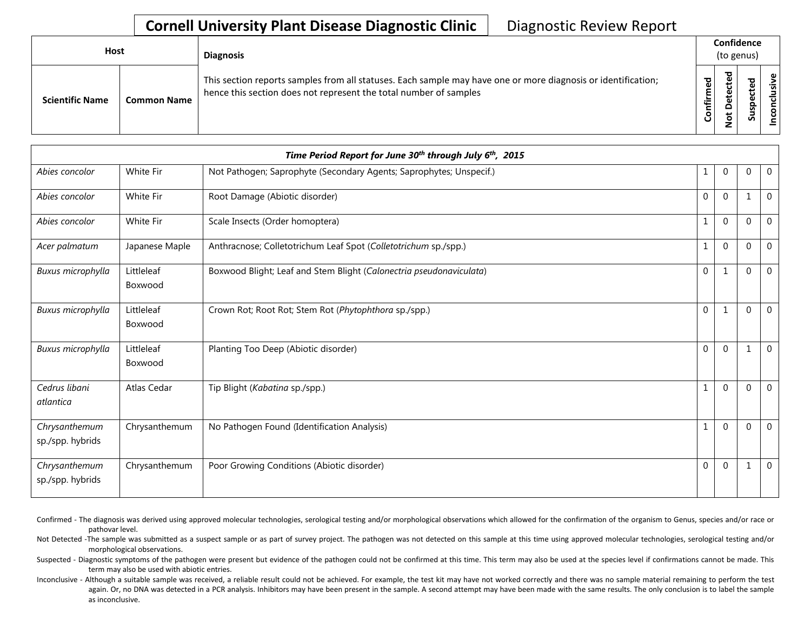## **Cornell University Plant Disease Diagnostic Clinic** | Diagnostic Review Report

| <b>Host</b>            |                    | <b>Diagnosis</b>                                                                                                                                                                   |                    | Confidence<br>(to genus) |             |  |
|------------------------|--------------------|------------------------------------------------------------------------------------------------------------------------------------------------------------------------------------|--------------------|--------------------------|-------------|--|
| <b>Scientific Name</b> | <b>Common Name</b> | This section reports samples from all statuses. Each sample may have one or more diagnosis or identification;<br>hence this section does not represent the total number of samples | ဥ္ပ<br>튑<br>۰<br>ပ | ъ<br>≏<br>ىپ<br>_        | ω<br>요<br>w |  |

| Time Period Report for June 30 <sup>th</sup> through July 6 <sup>th</sup> , 2015 |                       |                                                                     |              |              |              |                |  |  |
|----------------------------------------------------------------------------------|-----------------------|---------------------------------------------------------------------|--------------|--------------|--------------|----------------|--|--|
| Abies concolor                                                                   | White Fir             | Not Pathogen; Saprophyte (Secondary Agents; Saprophytes; Unspecif.) | 1            | $\mathbf 0$  | $\mathbf{0}$ | $\overline{0}$ |  |  |
| Abies concolor                                                                   | White Fir             | Root Damage (Abiotic disorder)                                      | $\Omega$     | $\Omega$     | 1            | $\mathbf{0}$   |  |  |
| Abies concolor                                                                   | White Fir             | Scale Insects (Order homoptera)                                     | $\mathbf{1}$ | $\Omega$     | $\Omega$     | $\Omega$       |  |  |
| Acer palmatum                                                                    | Japanese Maple        | Anthracnose; Colletotrichum Leaf Spot (Colletotrichum sp./spp.)     | $\mathbf{1}$ | $\mathbf 0$  | $\mathbf{0}$ | $\mathbf 0$    |  |  |
| Buxus microphylla                                                                | Littleleaf<br>Boxwood | Boxwood Blight; Leaf and Stem Blight (Calonectria pseudonaviculata) | $\mathbf 0$  | 1            | $\mathbf{0}$ | $\Omega$       |  |  |
| Buxus microphylla                                                                | Littleleaf<br>Boxwood | Crown Rot; Root Rot; Stem Rot (Phytophthora sp./spp.)               | $\Omega$     | $\mathbf{1}$ | $\Omega$     | $\Omega$       |  |  |
| Buxus microphylla                                                                | Littleleaf<br>Boxwood | Planting Too Deep (Abiotic disorder)                                | $\Omega$     | $\Omega$     | 1            | $\overline{0}$ |  |  |
| Cedrus libani<br>atlantica                                                       | Atlas Cedar           | Tip Blight (Kabatina sp./spp.)                                      | $\mathbf{1}$ | $\Omega$     | $\Omega$     | $\Omega$       |  |  |
| Chrysanthemum<br>sp./spp. hybrids                                                | Chrysanthemum         | No Pathogen Found (Identification Analysis)                         | 1            | $\mathbf 0$  | $\mathbf{0}$ | $\mathbf 0$    |  |  |
| Chrysanthemum<br>sp./spp. hybrids                                                | Chrysanthemum         | Poor Growing Conditions (Abiotic disorder)                          | $\mathbf{0}$ | $\mathbf 0$  | 1            | $\overline{0}$ |  |  |

- Confirmed The diagnosis was derived using approved molecular technologies, serological testing and/or morphological observations which allowed for the confirmation of the organism to Genus, species and/or race or pathovar level.
- Not Detected -The sample was submitted as a suspect sample or as part of survey project. The pathogen was not detected on this sample at this time using approved molecular technologies, serological testing and/or morphological observations.
- Suspected Diagnostic symptoms of the pathogen were present but evidence of the pathogen could not be confirmed at this time. This term may also be used at the species level if confirmations cannot be made. This term may also be used with abiotic entries.
- Inconclusive Although a suitable sample was received, a reliable result could not be achieved. For example, the test kit may have not worked correctly and there was no sample material remaining to perform the test again. Or, no DNA was detected in a PCR analysis. Inhibitors may have been present in the sample. A second attempt may have been made with the same results. The only conclusion is to label the sample as inconclusive.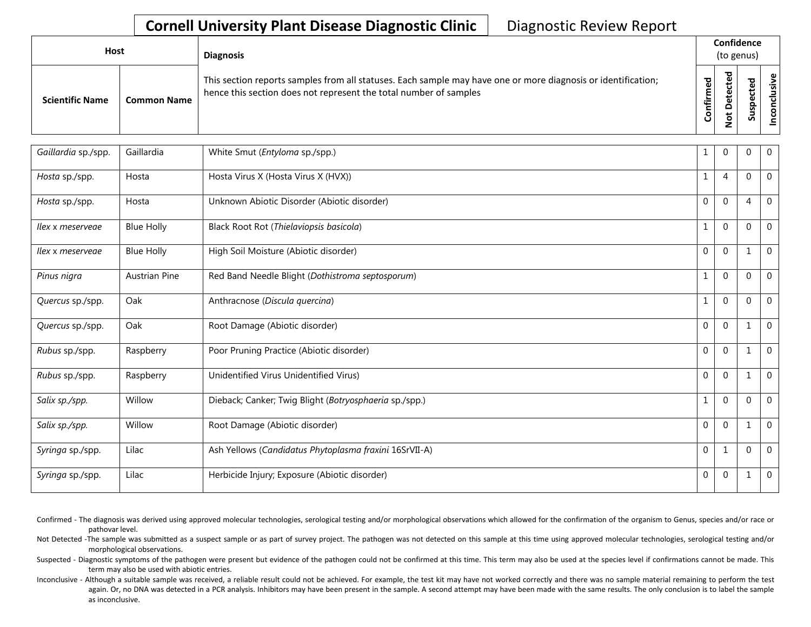## **Cornell University Plant Disease Diagnostic Clinic** | Diagnostic Review Report

| <b>Host</b>            |                    | <b>Diagnosis</b>                                                                                                                                                                   |                                |                                                   | Confidence<br>(to genus) |                      |
|------------------------|--------------------|------------------------------------------------------------------------------------------------------------------------------------------------------------------------------------|--------------------------------|---------------------------------------------------|--------------------------|----------------------|
| <b>Scientific Name</b> | <b>Common Name</b> | This section reports samples from all statuses. Each sample may have one or more diagnosis or identification;<br>hence this section does not represent the total number of samples | $\overline{e}$<br>Ě<br>Confiri | ъ<br>ω<br>Φ<br>Φ<br>۵<br>$\overline{\sigma}$<br>Z | ರ<br>Ψ<br>ပ<br>ಹ         | Φ<br>wisu<br>᠊ᠣ<br>S |

| Gaillardia sp./spp. | Gaillardia           | White Smut (Entyloma sp./spp.)                         |              | $\Omega$       | $\Omega$       | $\mathbf 0$    |
|---------------------|----------------------|--------------------------------------------------------|--------------|----------------|----------------|----------------|
| Hosta sp./spp.      | Hosta                | Hosta Virus X (Hosta Virus X (HVX))                    | 1            | $\overline{4}$ | $\Omega$       | $\Omega$       |
| Hosta sp./spp.      | Hosta                | Unknown Abiotic Disorder (Abiotic disorder)            | $\Omega$     | $\Omega$       | $\overline{4}$ | $\overline{0}$ |
| llex x meserveae    | <b>Blue Holly</b>    | Black Root Rot (Thielaviopsis basicola)                | $\mathbf{1}$ | $\Omega$       | $\Omega$       | $\mathbf 0$    |
| Ilex x meservege    | <b>Blue Holly</b>    | High Soil Moisture (Abiotic disorder)                  | $\Omega$     | $\Omega$       | $\mathbf{1}$   | $\mathbf{0}$   |
| Pinus nigra         | <b>Austrian Pine</b> | Red Band Needle Blight (Dothistroma septosporum)       | $\mathbf{1}$ | $\Omega$       | 0              | $\mathbf 0$    |
| Quercus sp./spp.    | Oak                  | Anthracnose (Discula quercina)                         | $\mathbf{1}$ | $\Omega$       | $\mathbf 0$    | $\mathbf 0$    |
| Quercus sp./spp.    | Oak                  | Root Damage (Abiotic disorder)                         | $\mathbf 0$  | $\Omega$       | 1              | $\mathbf 0$    |
| Rubus sp./spp.      | Raspberry            | Poor Pruning Practice (Abiotic disorder)               | $\Omega$     | $\Omega$       |                | $\mathbf{0}$   |
| Rubus sp./spp.      | Raspberry            | Unidentified Virus Unidentified Virus)                 | $\Omega$     | $\Omega$       | 1              | $\mathbf 0$    |
| Salix sp./spp.      | Willow               | Dieback; Canker; Twig Blight (Botryosphaeria sp./spp.) | $\mathbf{1}$ | $\Omega$       | $\mathbf 0$    | $\mathbf 0$    |
| Salix sp./spp.      | Willow               | Root Damage (Abiotic disorder)                         | $\Omega$     | $\Omega$       |                | $\mathbf 0$    |
| Syringa sp./spp.    | Lilac                | Ash Yellows (Candidatus Phytoplasma fraxini 16SrVII-A) | $\mathbf{0}$ | $\mathbf{1}$   | $\overline{0}$ | $\mathbf 0$    |
| Syringa sp./spp.    | Lilac                | Herbicide Injury; Exposure (Abiotic disorder)          | $\mathbf 0$  | $\mathbf 0$    |                | $\mathbf 0$    |

- Confirmed The diagnosis was derived using approved molecular technologies, serological testing and/or morphological observations which allowed for the confirmation of the organism to Genus, species and/or race or pathovar level.
- Not Detected -The sample was submitted as a suspect sample or as part of survey project. The pathogen was not detected on this sample at this time using approved molecular technologies, serological testing and/or morphological observations.
- Suspected Diagnostic symptoms of the pathogen were present but evidence of the pathogen could not be confirmed at this time. This term may also be used at the species level if confirmations cannot be made. This term may also be used with abiotic entries.
- Inconclusive Although a suitable sample was received, a reliable result could not be achieved. For example, the test kit may have not worked correctly and there was no sample material remaining to perform the test again. Or, no DNA was detected in a PCR analysis. Inhibitors may have been present in the sample. A second attempt may have been made with the same results. The only conclusion is to label the sample as inconclusive.